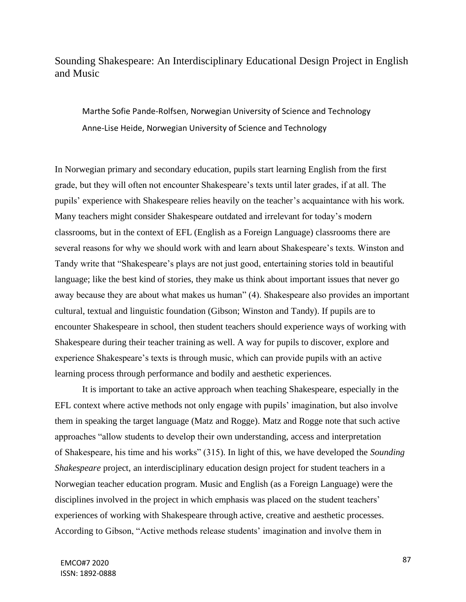# Sounding Shakespeare: An Interdisciplinary Educational Design Project in English and Music

Marthe Sofie Pande-Rolfsen, Norwegian University of Science and Technology Anne-Lise Heide, Norwegian University of Science and Technology

In Norwegian primary and secondary education, pupils start learning English from the first grade, but they will often not encounter Shakespeare's texts until later grades, if at all. The pupils' experience with Shakespeare relies heavily on the teacher's acquaintance with his work. Many teachers might consider Shakespeare outdated and irrelevant for today's modern classrooms, but in the context of EFL (English as a Foreign Language) classrooms there are several reasons for why we should work with and learn about Shakespeare's texts. Winston and Tandy write that "Shakespeare's plays are not just good, entertaining stories told in beautiful language; like the best kind of stories, they make us think about important issues that never go away because they are about what makes us human" (4). Shakespeare also provides an important cultural, textual and linguistic foundation (Gibson; Winston and Tandy). If pupils are to encounter Shakespeare in school, then student teachers should experience ways of working with Shakespeare during their teacher training as well. A way for pupils to discover, explore and experience Shakespeare's texts is through music, which can provide pupils with an active learning process through performance and bodily and aesthetic experiences.

It is important to take an active approach when teaching Shakespeare, especially in the EFL context where active methods not only engage with pupils' imagination, but also involve them in speaking the target language (Matz and Rogge). Matz and Rogge note that such active approaches "allow students to develop their own understanding, access and interpretation of Shakespeare, his time and his works" (315). In light of this, we have developed the *Sounding Shakespeare* project, an interdisciplinary education design project for student teachers in a Norwegian teacher education program. Music and English (as a Foreign Language) were the disciplines involved in the project in which emphasis was placed on the student teachers' experiences of working with Shakespeare through active, creative and aesthetic processes. According to Gibson, "Active methods release students' imagination and involve them in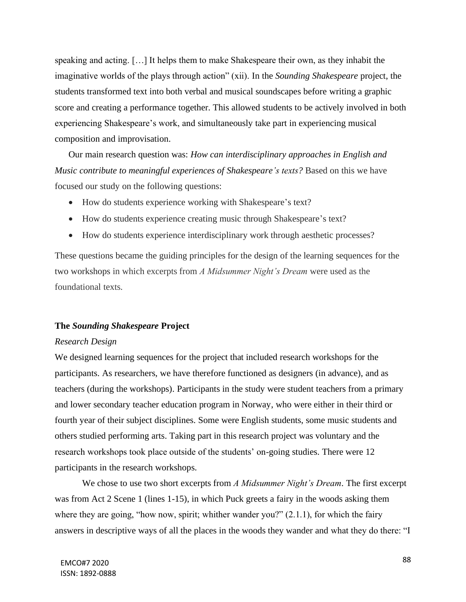speaking and acting. […] It helps them to make Shakespeare their own, as they inhabit the imaginative worlds of the plays through action" (xii). In the *Sounding Shakespeare* project, the students transformed text into both verbal and musical soundscapes before writing a graphic score and creating a performance together. This allowed students to be actively involved in both experiencing Shakespeare's work, and simultaneously take part in experiencing musical composition and improvisation.

Our main research question was: *How can interdisciplinary approaches in English and Music contribute to meaningful experiences of Shakespeare's texts?* Based on this we have focused our study on the following questions:

- How do students experience working with Shakespeare's text?
- How do students experience creating music through Shakespeare's text?
- How do students experience interdisciplinary work through aesthetic processes?

These questions became the guiding principles for the design of the learning sequences for the two workshops in which excerpts from *A Midsummer Night's Dream* were used as the foundational texts.

## **The** *Sounding Shakespeare* **Project**

#### *Research Design*

We designed learning sequences for the project that included research workshops for the participants. As researchers, we have therefore functioned as designers (in advance), and as teachers (during the workshops). Participants in the study were student teachers from a primary and lower secondary teacher education program in Norway, who were either in their third or fourth year of their subject disciplines. Some were English students, some music students and others studied performing arts. Taking part in this research project was voluntary and the research workshops took place outside of the students' on-going studies. There were 12 participants in the research workshops.

We chose to use two short excerpts from *A Midsummer Night's Dream*. The first excerpt was from Act 2 Scene 1 (lines 1-15), in which Puck greets a fairy in the woods asking them where they are going, "how now, spirit; whither wander you?" (2.1.1), for which the fairy answers in descriptive ways of all the places in the woods they wander and what they do there: "I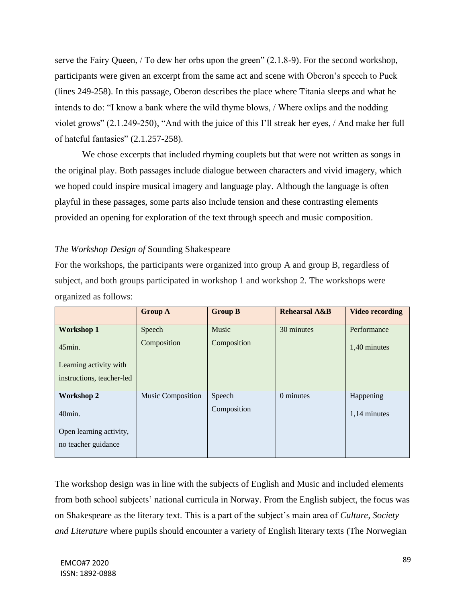serve the Fairy Queen, / To dew her orbs upon the green" (2.1.8-9). For the second workshop, participants were given an excerpt from the same act and scene with Oberon's speech to Puck (lines 249-258). In this passage, Oberon describes the place where Titania sleeps and what he intends to do: "I know a bank where the wild thyme blows, / Where oxlips and the nodding violet grows" (2.1.249-250), "And with the juice of this I'll streak her eyes, / And make her full of hateful fantasies" (2.1.257-258).

We chose excerpts that included rhyming couplets but that were not written as songs in the original play. Both passages include dialogue between characters and vivid imagery, which we hoped could inspire musical imagery and language play. Although the language is often playful in these passages, some parts also include tension and these contrasting elements provided an opening for exploration of the text through speech and music composition.

## *The Workshop Design of* Sounding Shakespeare

For the workshops, the participants were organized into group A and group B, regardless of subject, and both groups participated in workshop 1 and workshop 2. The workshops were organized as follows:

|                           | <b>Group A</b>           | <b>Group B</b> | <b>Rehearsal A&amp;B</b> | <b>Video recording</b> |
|---------------------------|--------------------------|----------------|--------------------------|------------------------|
| <b>Workshop 1</b>         | Speech                   | Music          | 30 minutes               | Performance            |
| $45$ min.                 | Composition              | Composition    |                          | 1,40 minutes           |
| Learning activity with    |                          |                |                          |                        |
| instructions, teacher-led |                          |                |                          |                        |
|                           |                          |                |                          |                        |
| <b>Workshop 2</b>         | <b>Music Composition</b> | Speech         | 0 minutes                | Happening              |
| $40$ min.                 |                          | Composition    |                          | 1,14 minutes           |
| Open learning activity,   |                          |                |                          |                        |
| no teacher guidance       |                          |                |                          |                        |
|                           |                          |                |                          |                        |

The workshop design was in line with the subjects of English and Music and included elements from both school subjects' national curricula in Norway. From the English subject, the focus was on Shakespeare as the literary text. This is a part of the subject's main area of *Culture, Society and Literature* where pupils should encounter a variety of English literary texts (The Norwegian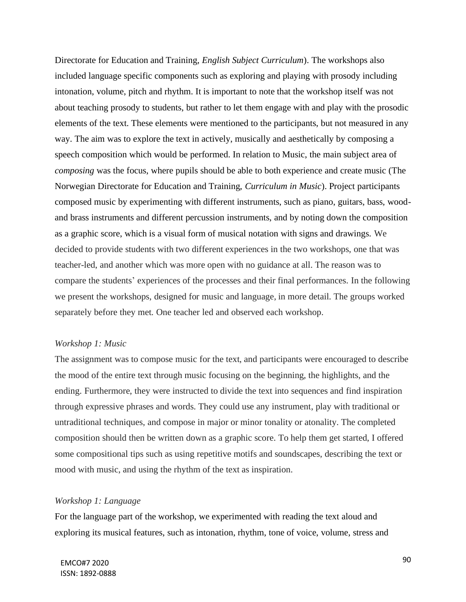Directorate for Education and Training, *English Subject Curriculum*). The workshops also included language specific components such as exploring and playing with prosody including intonation, volume, pitch and rhythm. It is important to note that the workshop itself was not about teaching prosody to students, but rather to let them engage with and play with the prosodic elements of the text. These elements were mentioned to the participants, but not measured in any way. The aim was to explore the text in actively, musically and aesthetically by composing a speech composition which would be performed. In relation to Music, the main subject area of *composing* was the focus, where pupils should be able to both experience and create music (The Norwegian Directorate for Education and Training, *Curriculum in Music*). Project participants composed music by experimenting with different instruments, such as piano, guitars, bass, woodand brass instruments and different percussion instruments, and by noting down the composition as a graphic score, which is a visual form of musical notation with signs and drawings. We decided to provide students with two different experiences in the two workshops, one that was teacher-led, and another which was more open with no guidance at all. The reason was to compare the students' experiences of the processes and their final performances. In the following we present the workshops, designed for music and language, in more detail. The groups worked separately before they met. One teacher led and observed each workshop.

## *Workshop 1: Music*

The assignment was to compose music for the text, and participants were encouraged to describe the mood of the entire text through music focusing on the beginning, the highlights, and the ending. Furthermore, they were instructed to divide the text into sequences and find inspiration through expressive phrases and words. They could use any instrument, play with traditional or untraditional techniques, and compose in major or minor tonality or atonality. The completed composition should then be written down as a graphic score. To help them get started, I offered some compositional tips such as using repetitive motifs and soundscapes, describing the text or mood with music, and using the rhythm of the text as inspiration.

#### *Workshop 1: Language*

For the language part of the workshop, we experimented with reading the text aloud and exploring its musical features, such as intonation, rhythm, tone of voice, volume, stress and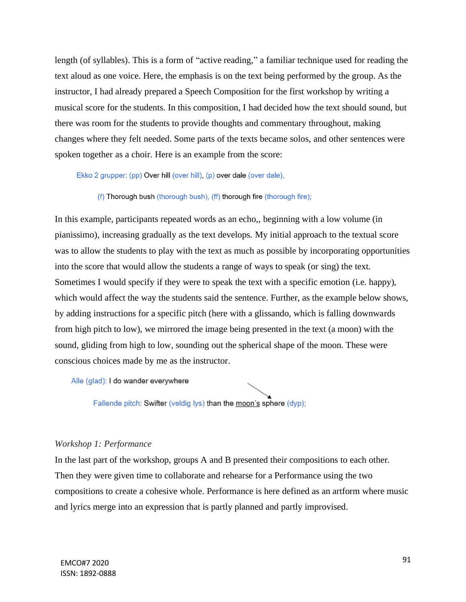length (of syllables). This is a form of "active reading," a familiar technique used for reading the text aloud as one voice. Here, the emphasis is on the text being performed by the group. As the instructor, I had already prepared a Speech Composition for the first workshop by writing a musical score for the students. In this composition, I had decided how the text should sound, but there was room for the students to provide thoughts and commentary throughout, making changes where they felt needed. Some parts of the texts became solos, and other sentences were spoken together as a choir. Here is an example from the score:

Ekko 2 grupper: (pp) Over hill (over hill), (p) over dale (over dale),

(f) Thorough bush (thorough bush), (ff) thorough fire (thorough fire);

In this example, participants repeated words as an echo,, beginning with a low volume (in pianissimo), increasing gradually as the text develops. My initial approach to the textual score was to allow the students to play with the text as much as possible by incorporating opportunities into the score that would allow the students a range of ways to speak (or sing) the text. Sometimes I would specify if they were to speak the text with a specific emotion (i.e. happy), which would affect the way the students said the sentence. Further, as the example below shows, by adding instructions for a specific pitch (here with a glissando, which is falling downwards from high pitch to low), we mirrored the image being presented in the text (a moon) with the sound, gliding from high to low, sounding out the spherical shape of the moon. These were conscious choices made by me as the instructor.

Alle (glad): I do wander everywhere

Fallende pitch: Swifter (veldig lys) than the moon's sphere (dyp);

#### *Workshop 1: Performance*

In the last part of the workshop, groups A and B presented their compositions to each other. Then they were given time to collaborate and rehearse for a Performance using the two compositions to create a cohesive whole. Performance is here defined as an artform where music and lyrics merge into an expression that is partly planned and partly improvised.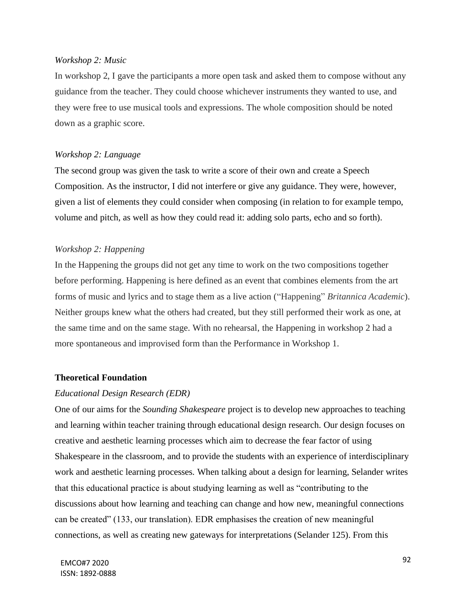#### *Workshop 2: Music*

In workshop 2, I gave the participants a more open task and asked them to compose without any guidance from the teacher. They could choose whichever instruments they wanted to use, and they were free to use musical tools and expressions. The whole composition should be noted down as a graphic score.

### *Workshop 2: Language*

The second group was given the task to write a score of their own and create a Speech Composition. As the instructor, I did not interfere or give any guidance. They were, however, given a list of elements they could consider when composing (in relation to for example tempo, volume and pitch, as well as how they could read it: adding solo parts, echo and so forth).

#### *Workshop 2: Happening*

In the Happening the groups did not get any time to work on the two compositions together before performing. Happening is here defined as an event that combines elements from the art forms of music and lyrics and to stage them as a live action ("Happening" *Britannica Academic*). Neither groups knew what the others had created, but they still performed their work as one, at the same time and on the same stage. With no rehearsal, the Happening in workshop 2 had a more spontaneous and improvised form than the Performance in Workshop 1.

#### **Theoretical Foundation**

## *Educational Design Research (EDR)*

One of our aims for the *Sounding Shakespeare* project is to develop new approaches to teaching and learning within teacher training through educational design research. Our design focuses on creative and aesthetic learning processes which aim to decrease the fear factor of using Shakespeare in the classroom, and to provide the students with an experience of interdisciplinary work and aesthetic learning processes. When talking about a design for learning, Selander writes that this educational practice is about studying learning as well as "contributing to the discussions about how learning and teaching can change and how new, meaningful connections can be created" (133, our translation). EDR emphasises the creation of new meaningful connections, as well as creating new gateways for interpretations (Selander 125). From this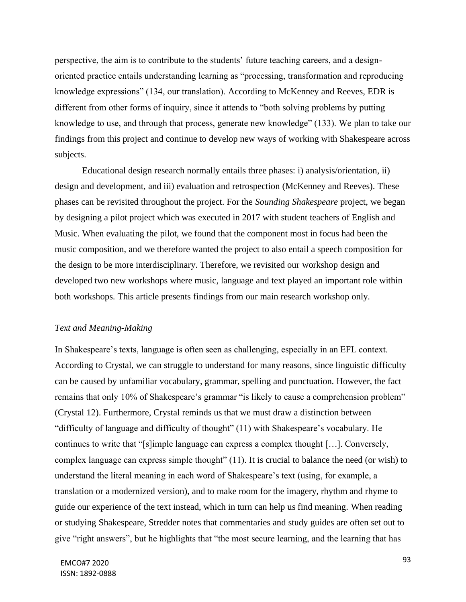perspective, the aim is to contribute to the students' future teaching careers, and a designoriented practice entails understanding learning as "processing, transformation and reproducing knowledge expressions" (134, our translation). According to McKenney and Reeves, EDR is different from other forms of inquiry, since it attends to "both solving problems by putting knowledge to use, and through that process, generate new knowledge" (133). We plan to take our findings from this project and continue to develop new ways of working with Shakespeare across subjects.

Educational design research normally entails three phases: i) analysis/orientation, ii) design and development, and iii) evaluation and retrospection (McKenney and Reeves). These phases can be revisited throughout the project. For the *Sounding Shakespeare* project, we began by designing a pilot project which was executed in 2017 with student teachers of English and Music. When evaluating the pilot, we found that the component most in focus had been the music composition, and we therefore wanted the project to also entail a speech composition for the design to be more interdisciplinary. Therefore, we revisited our workshop design and developed two new workshops where music, language and text played an important role within both workshops. This article presents findings from our main research workshop only.

## *Text and Meaning-Making*

In Shakespeare's texts, language is often seen as challenging, especially in an EFL context. According to Crystal, we can struggle to understand for many reasons, since linguistic difficulty can be caused by unfamiliar vocabulary, grammar, spelling and punctuation. However, the fact remains that only 10% of Shakespeare's grammar "is likely to cause a comprehension problem" (Crystal 12). Furthermore, Crystal reminds us that we must draw a distinction between "difficulty of language and difficulty of thought" (11) with Shakespeare's vocabulary. He continues to write that "[s]imple language can express a complex thought […]. Conversely, complex language can express simple thought" (11). It is crucial to balance the need (or wish) to understand the literal meaning in each word of Shakespeare's text (using, for example, a translation or a modernized version), and to make room for the imagery, rhythm and rhyme to guide our experience of the text instead, which in turn can help us find meaning. When reading or studying Shakespeare, Stredder notes that commentaries and study guides are often set out to give "right answers", but he highlights that "the most secure learning, and the learning that has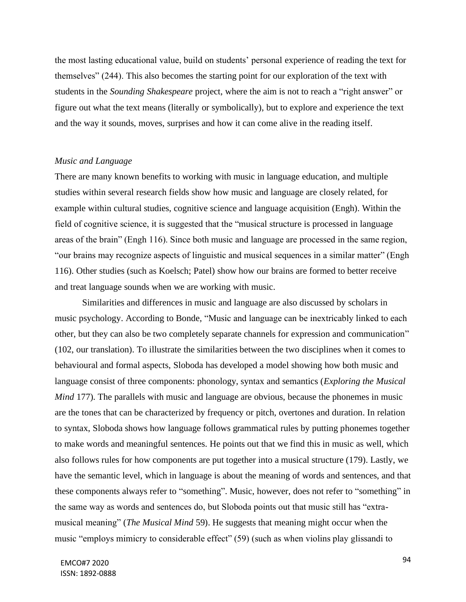the most lasting educational value, build on students' personal experience of reading the text for themselves" (244). This also becomes the starting point for our exploration of the text with students in the *Sounding Shakespeare* project, where the aim is not to reach a "right answer" or figure out what the text means (literally or symbolically), but to explore and experience the text and the way it sounds, moves, surprises and how it can come alive in the reading itself.

#### *Music and Language*

There are many known benefits to working with music in language education, and multiple studies within several research fields show how music and language are closely related, for example within cultural studies, cognitive science and language acquisition (Engh). Within the field of cognitive science, it is suggested that the "musical structure is processed in language areas of the brain" (Engh 116). Since both music and language are processed in the same region, "our brains may recognize aspects of linguistic and musical sequences in a similar matter" (Engh 116). Other studies (such as Koelsch; Patel) show how our brains are formed to better receive and treat language sounds when we are working with music.

Similarities and differences in music and language are also discussed by scholars in music psychology. According to Bonde, "Music and language can be inextricably linked to each other, but they can also be two completely separate channels for expression and communication" (102, our translation). To illustrate the similarities between the two disciplines when it comes to behavioural and formal aspects, Sloboda has developed a model showing how both music and language consist of three components: phonology, syntax and semantics (*Exploring the Musical Mind 177*). The parallels with music and language are obvious, because the phonemes in music are the tones that can be characterized by frequency or pitch, overtones and duration. In relation to syntax, Sloboda shows how language follows grammatical rules by putting phonemes together to make words and meaningful sentences. He points out that we find this in music as well, which also follows rules for how components are put together into a musical structure (179). Lastly, we have the semantic level, which in language is about the meaning of words and sentences, and that these components always refer to "something". Music, however, does not refer to "something" in the same way as words and sentences do, but Sloboda points out that music still has "extramusical meaning" (*The Musical Mind* 59). He suggests that meaning might occur when the music "employs mimicry to considerable effect" (59) (such as when violins play glissandi to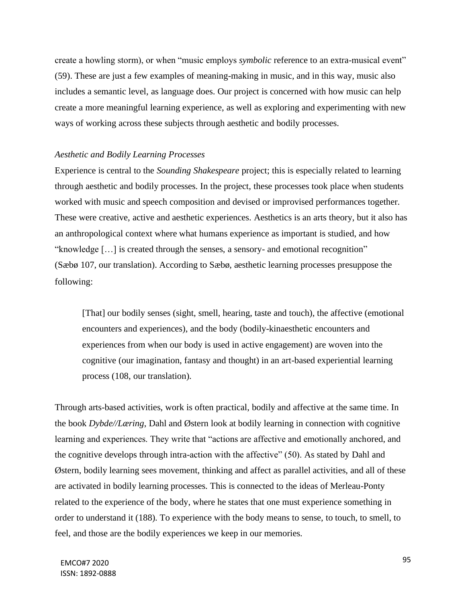create a howling storm), or when "music employs *symbolic* reference to an extra-musical event" (59). These are just a few examples of meaning-making in music, and in this way, music also includes a semantic level, as language does. Our project is concerned with how music can help create a more meaningful learning experience, as well as exploring and experimenting with new ways of working across these subjects through aesthetic and bodily processes.

### *Aesthetic and Bodily Learning Processes*

Experience is central to the *Sounding Shakespeare* project; this is especially related to learning through aesthetic and bodily processes. In the project, these processes took place when students worked with music and speech composition and devised or improvised performances together. These were creative, active and aesthetic experiences. Aesthetics is an arts theory, but it also has an anthropological context where what humans experience as important is studied, and how "knowledge […] is created through the senses, a sensory- and emotional recognition" (Sæbø 107, our translation). According to Sæbø, aesthetic learning processes presuppose the following:

[That] our bodily senses (sight, smell, hearing, taste and touch), the affective (emotional encounters and experiences), and the body (bodily-kinaesthetic encounters and experiences from when our body is used in active engagement) are woven into the cognitive (our imagination, fantasy and thought) in an art-based experiential learning process (108, our translation).

Through arts-based activities, work is often practical, bodily and affective at the same time. In the book *Dybde//Læring*, Dahl and Østern look at bodily learning in connection with cognitive learning and experiences. They write that "actions are affective and emotionally anchored, and the cognitive develops through intra-action with the affective" (50). As stated by Dahl and Østern, bodily learning sees movement, thinking and affect as parallel activities, and all of these are activated in bodily learning processes. This is connected to the ideas of Merleau-Ponty related to the experience of the body, where he states that one must experience something in order to understand it (188). To experience with the body means to sense, to touch, to smell, to feel, and those are the bodily experiences we keep in our memories.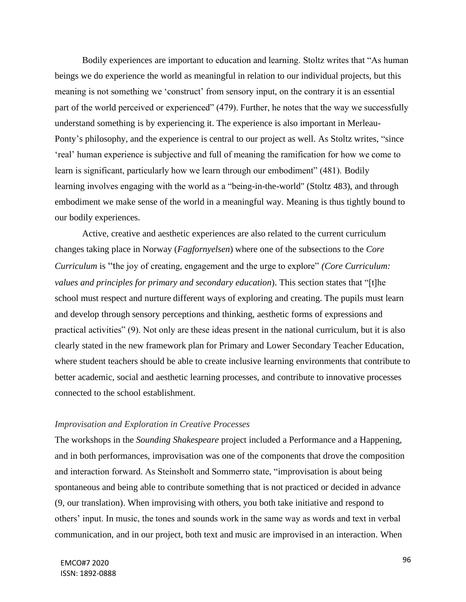Bodily experiences are important to education and learning. Stoltz writes that "As human beings we do experience the world as meaningful in relation to our individual projects, but this meaning is not something we 'construct' from sensory input, on the contrary it is an essential part of the world perceived or experienced" (479). Further, he notes that the way we successfully understand something is by experiencing it. The experience is also important in Merleau-Ponty's philosophy, and the experience is central to our project as well. As Stoltz writes, "since 'real' human experience is subjective and full of meaning the ramification for how we come to learn is significant, particularly how we learn through our embodiment" (481). Bodily learning involves engaging with the world as a "being-in-the-world" (Stoltz 483), and through embodiment we make sense of the world in a meaningful way. Meaning is thus tightly bound to our bodily experiences.

Active, creative and aesthetic experiences are also related to the current curriculum changes taking place in Norway (*Fagfornyelsen*) where one of the subsections to the *Core Curriculum* is "the joy of creating, engagement and the urge to explore" *(Core Curriculum: values and principles for primary and secondary education*). This section states that "[t]he school must respect and nurture different ways of exploring and creating. The pupils must learn and develop through sensory perceptions and thinking, aesthetic forms of expressions and practical activities" (9). Not only are these ideas present in the national curriculum, but it is also clearly stated in the new framework plan for Primary and Lower Secondary Teacher Education, where student teachers should be able to create inclusive learning environments that contribute to better academic, social and aesthetic learning processes, and contribute to innovative processes connected to the school establishment.

## *Improvisation and Exploration in Creative Processes*

The workshops in the *Sounding Shakespeare* project included a Performance and a Happening, and in both performances, improvisation was one of the components that drove the composition and interaction forward. As Steinsholt and Sommerro state, "improvisation is about being spontaneous and being able to contribute something that is not practiced or decided in advance (9, our translation). When improvising with others, you both take initiative and respond to others' input. In music, the tones and sounds work in the same way as words and text in verbal communication, and in our project, both text and music are improvised in an interaction. When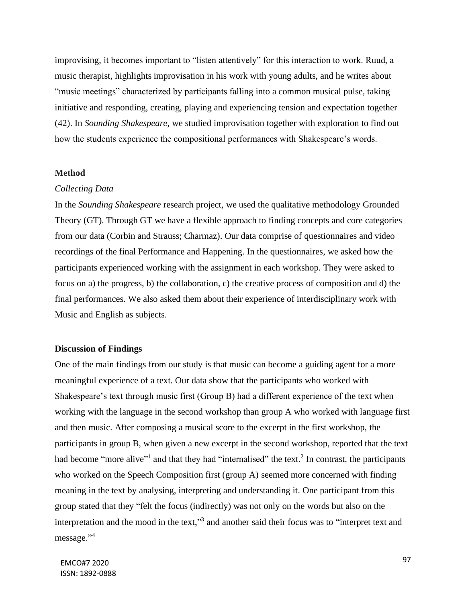improvising, it becomes important to "listen attentively" for this interaction to work. Ruud, a music therapist, highlights improvisation in his work with young adults, and he writes about "music meetings" characterized by participants falling into a common musical pulse, taking initiative and responding, creating, playing and experiencing tension and expectation together (42). In *Sounding Shakespeare,* we studied improvisation together with exploration to find out how the students experience the compositional performances with Shakespeare's words.

#### **Method**

#### *Collecting Data*

In the *Sounding Shakespeare* research project, we used the qualitative methodology Grounded Theory (GT). Through GT we have a flexible approach to finding concepts and core categories from our data (Corbin and Strauss; Charmaz). Our data comprise of questionnaires and video recordings of the final Performance and Happening. In the questionnaires, we asked how the participants experienced working with the assignment in each workshop. They were asked to focus on a) the progress, b) the collaboration, c) the creative process of composition and d) the final performances. We also asked them about their experience of interdisciplinary work with Music and English as subjects.

#### **Discussion of Findings**

One of the main findings from our study is that music can become a guiding agent for a more meaningful experience of a text. Our data show that the participants who worked with Shakespeare's text through music first (Group B) had a different experience of the text when working with the language in the second workshop than group A who worked with language first and then music. After composing a musical score to the excerpt in the first workshop, the participants in group B, when given a new excerpt in the second workshop, reported that the text had become "more alive"<sup>1</sup> and that they had "internalised" the text.<sup>2</sup> In contrast, the participants who worked on the Speech Composition first (group A) seemed more concerned with finding meaning in the text by analysing, interpreting and understanding it. One participant from this group stated that they "felt the focus (indirectly) was not only on the words but also on the interpretation and the mood in the text,"<sup>3</sup> and another said their focus was to "interpret text and message."<sup>4</sup>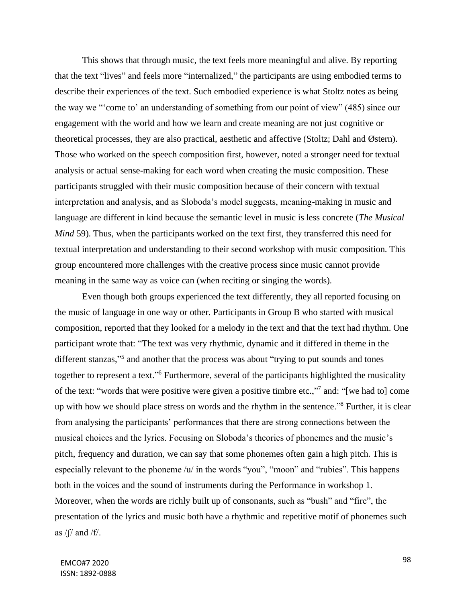This shows that through music, the text feels more meaningful and alive. By reporting that the text "lives" and feels more "internalized," the participants are using embodied terms to describe their experiences of the text. Such embodied experience is what Stoltz notes as being the way we "'come to' an understanding of something from our point of view" (485) since our engagement with the world and how we learn and create meaning are not just cognitive or theoretical processes, they are also practical, aesthetic and affective (Stoltz; Dahl and Østern). Those who worked on the speech composition first, however, noted a stronger need for textual analysis or actual sense-making for each word when creating the music composition. These participants struggled with their music composition because of their concern with textual interpretation and analysis, and as Sloboda's model suggests, meaning-making in music and language are different in kind because the semantic level in music is less concrete (*The Musical Mind* 59). Thus, when the participants worked on the text first, they transferred this need for textual interpretation and understanding to their second workshop with music composition. This group encountered more challenges with the creative process since music cannot provide meaning in the same way as voice can (when reciting or singing the words).

Even though both groups experienced the text differently, they all reported focusing on the music of language in one way or other. Participants in Group B who started with musical composition, reported that they looked for a melody in the text and that the text had rhythm. One participant wrote that: "The text was very rhythmic, dynamic and it differed in theme in the different stanzas,"<sup>5</sup> and another that the process was about "trying to put sounds and tones together to represent a text."<sup>6</sup> Furthermore, several of the participants highlighted the musicality of the text: "words that were positive were given a positive timbre etc.,"<sup>7</sup> and: "[we had to] come up with how we should place stress on words and the rhythm in the sentence."<sup>8</sup> Further, it is clear from analysing the participants' performances that there are strong connections between the musical choices and the lyrics. Focusing on Sloboda's theories of phonemes and the music's pitch, frequency and duration, we can say that some phonemes often gain a high pitch. This is especially relevant to the phoneme /u/ in the words "you", "moon" and "rubies". This happens both in the voices and the sound of instruments during the Performance in workshop 1. Moreover, when the words are richly built up of consonants, such as "bush" and "fire", the presentation of the lyrics and music both have a rhythmic and repetitive motif of phonemes such as  $/ \int / \ln \frac{df}{f}$ .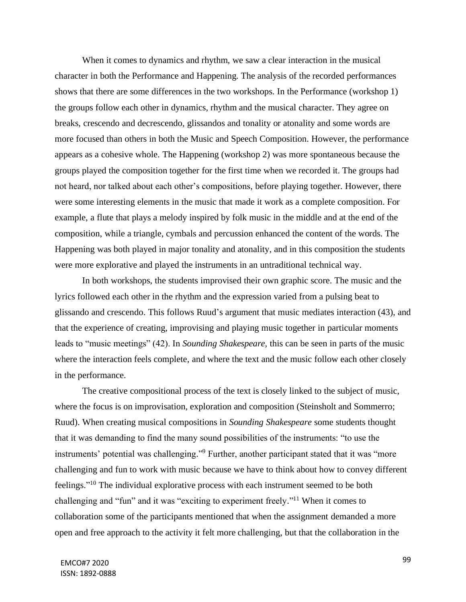When it comes to dynamics and rhythm, we saw a clear interaction in the musical character in both the Performance and Happening. The analysis of the recorded performances shows that there are some differences in the two workshops. In the Performance (workshop 1) the groups follow each other in dynamics, rhythm and the musical character. They agree on breaks, crescendo and decrescendo, glissandos and tonality or atonality and some words are more focused than others in both the Music and Speech Composition. However, the performance appears as a cohesive whole. The Happening (workshop 2) was more spontaneous because the groups played the composition together for the first time when we recorded it. The groups had not heard, nor talked about each other's compositions, before playing together. However, there were some interesting elements in the music that made it work as a complete composition. For example, a flute that plays a melody inspired by folk music in the middle and at the end of the composition, while a triangle, cymbals and percussion enhanced the content of the words. The Happening was both played in major tonality and atonality, and in this composition the students were more explorative and played the instruments in an untraditional technical way.

In both workshops, the students improvised their own graphic score. The music and the lyrics followed each other in the rhythm and the expression varied from a pulsing beat to glissando and crescendo. This follows Ruud's argument that music mediates interaction (43), and that the experience of creating, improvising and playing music together in particular moments leads to "music meetings" (42). In *Sounding Shakespeare,* this can be seen in parts of the music where the interaction feels complete, and where the text and the music follow each other closely in the performance.

The creative compositional process of the text is closely linked to the subject of music, where the focus is on improvisation, exploration and composition (Steinsholt and Sommerro; Ruud). When creating musical compositions in *Sounding Shakespeare* some students thought that it was demanding to find the many sound possibilities of the instruments: "to use the instruments' potential was challenging." <sup>9</sup> Further, another participant stated that it was "more challenging and fun to work with music because we have to think about how to convey different feelings."<sup>10</sup> The individual explorative process with each instrument seemed to be both challenging and "fun" and it was "exciting to experiment freely."<sup>11</sup> When it comes to collaboration some of the participants mentioned that when the assignment demanded a more open and free approach to the activity it felt more challenging, but that the collaboration in the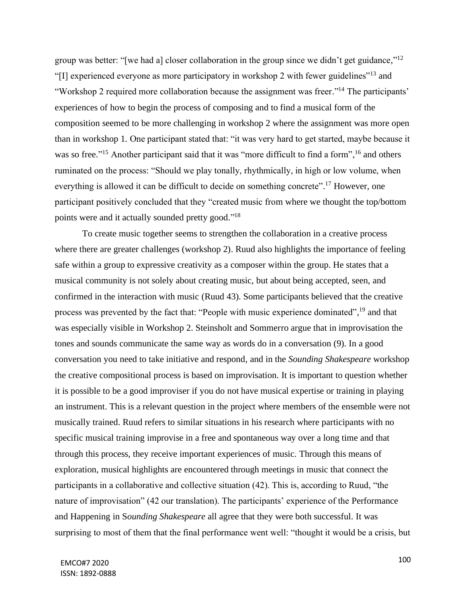group was better: "[we had a] closer collaboration in the group since we didn't get guidance,"<sup>12</sup> "[I] experienced everyone as more participatory in workshop 2 with fewer guidelines"<sup>13</sup> and "Workshop 2 required more collaboration because the assignment was freer."<sup>14</sup> The participants' experiences of how to begin the process of composing and to find a musical form of the composition seemed to be more challenging in workshop 2 where the assignment was more open than in workshop 1. One participant stated that: "it was very hard to get started, maybe because it was so free."<sup>15</sup> Another participant said that it was "more difficult to find a form",<sup>16</sup> and others ruminated on the process: "Should we play tonally, rhythmically, in high or low volume, when everything is allowed it can be difficult to decide on something concrete".<sup>17</sup> However, one participant positively concluded that they "created music from where we thought the top/bottom points were and it actually sounded pretty good."<sup>18</sup>

To create music together seems to strengthen the collaboration in a creative process where there are greater challenges (workshop 2). Ruud also highlights the importance of feeling safe within a group to expressive creativity as a composer within the group. He states that a musical community is not solely about creating music, but about being accepted, seen, and confirmed in the interaction with music (Ruud 43). Some participants believed that the creative process was prevented by the fact that: "People with music experience dominated",<sup>19</sup> and that was especially visible in Workshop 2. Steinsholt and Sommerro argue that in improvisation the tones and sounds communicate the same way as words do in a conversation (9). In a good conversation you need to take initiative and respond, and in the *Sounding Shakespeare* workshop the creative compositional process is based on improvisation. It is important to question whether it is possible to be a good improviser if you do not have musical expertise or training in playing an instrument. This is a relevant question in the project where members of the ensemble were not musically trained. Ruud refers to similar situations in his research where participants with no specific musical training improvise in a free and spontaneous way over a long time and that through this process, they receive important experiences of music. Through this means of exploration, musical highlights are encountered through meetings in music that connect the participants in a collaborative and collective situation (42). This is, according to Ruud, "the nature of improvisation" (42 our translation). The participants' experience of the Performance and Happening in S*ounding Shakespeare* all agree that they were both successful. It was surprising to most of them that the final performance went well: "thought it would be a crisis, but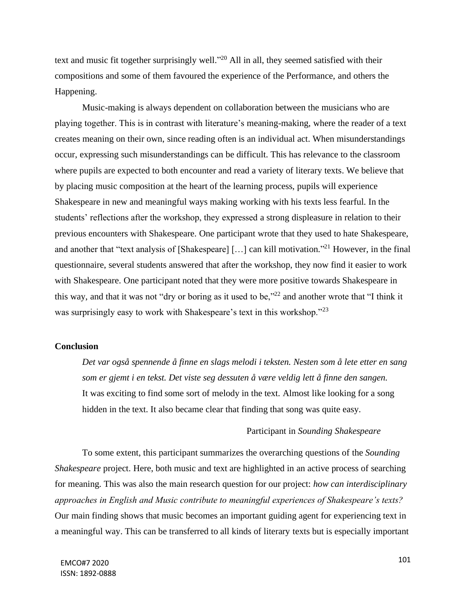text and music fit together surprisingly well."<sup>20</sup> All in all, they seemed satisfied with their compositions and some of them favoured the experience of the Performance, and others the Happening.

Music-making is always dependent on collaboration between the musicians who are playing together. This is in contrast with literature's meaning-making, where the reader of a text creates meaning on their own, since reading often is an individual act. When misunderstandings occur, expressing such misunderstandings can be difficult. This has relevance to the classroom where pupils are expected to both encounter and read a variety of literary texts. We believe that by placing music composition at the heart of the learning process, pupils will experience Shakespeare in new and meaningful ways making working with his texts less fearful. In the students' reflections after the workshop, they expressed a strong displeasure in relation to their previous encounters with Shakespeare. One participant wrote that they used to hate Shakespeare, and another that "text analysis of [Shakespeare]  $[...]$  can kill motivation."<sup>21</sup> However, in the final questionnaire, several students answered that after the workshop, they now find it easier to work with Shakespeare. One participant noted that they were more positive towards Shakespeare in this way, and that it was not "dry or boring as it used to be,"<sup>22</sup> and another wrote that "I think it was surprisingly easy to work with Shakespeare's text in this workshop."<sup>23</sup>

#### **Conclusion**

*Det var også spennende å finne en slags melodi i teksten. Nesten som å lete etter en sang som er gjemt i en tekst. Det viste seg dessuten å være veldig lett å finne den sangen.*  It was exciting to find some sort of melody in the text. Almost like looking for a song hidden in the text. It also became clear that finding that song was quite easy.

#### Participant in *Sounding Shakespeare*

To some extent, this participant summarizes the overarching questions of the *Sounding Shakespeare* project. Here, both music and text are highlighted in an active process of searching for meaning. This was also the main research question for our project: *how can interdisciplinary approaches in English and Music contribute to meaningful experiences of Shakespeare's texts?* Our main finding shows that music becomes an important guiding agent for experiencing text in a meaningful way. This can be transferred to all kinds of literary texts but is especially important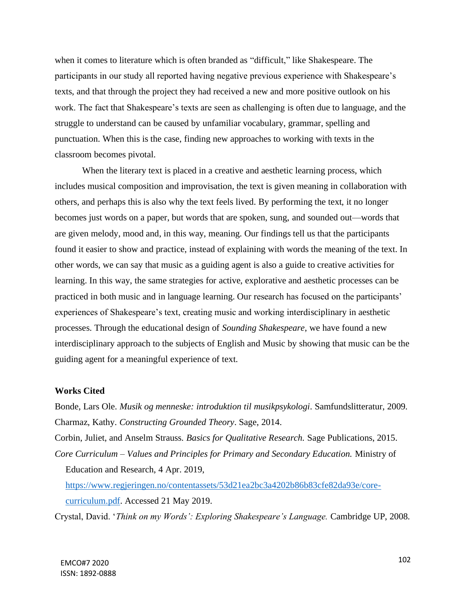when it comes to literature which is often branded as "difficult," like Shakespeare. The participants in our study all reported having negative previous experience with Shakespeare's texts, and that through the project they had received a new and more positive outlook on his work. The fact that Shakespeare's texts are seen as challenging is often due to language, and the struggle to understand can be caused by unfamiliar vocabulary, grammar, spelling and punctuation. When this is the case, finding new approaches to working with texts in the classroom becomes pivotal.

When the literary text is placed in a creative and aesthetic learning process, which includes musical composition and improvisation, the text is given meaning in collaboration with others, and perhaps this is also why the text feels lived. By performing the text, it no longer becomes just words on a paper, but words that are spoken, sung, and sounded out—words that are given melody, mood and, in this way, meaning. Our findings tell us that the participants found it easier to show and practice, instead of explaining with words the meaning of the text. In other words, we can say that music as a guiding agent is also a guide to creative activities for learning. In this way, the same strategies for active, explorative and aesthetic processes can be practiced in both music and in language learning. Our research has focused on the participants' experiences of Shakespeare's text, creating music and working interdisciplinary in aesthetic processes. Through the educational design of *Sounding Shakespeare*, we have found a new interdisciplinary approach to the subjects of English and Music by showing that music can be the guiding agent for a meaningful experience of text.

## **Works Cited**

Bonde, Lars Ole. *Musik og menneske: introduktion til musikpsykologi*. Samfundslitteratur, 2009. Charmaz, Kathy. *Constructing Grounded Theory*. Sage, 2014.

Corbin, Juliet, and Anselm Strauss. *Basics for Qualitative Research.* Sage Publications, 2015. *Core Curriculum – Values and Principles for Primary and Secondary Education.* Ministry of Education and Research, 4 Apr. 2019,

[https://www.regjeringen.no/contentassets/53d21ea2bc3a4202b86b83cfe82da93e/core](https://www.regjeringen.no/contentassets/53d21ea2bc3a4202b86b83cfe82da93e/core-curriculum.pdf)[curriculum.pdf.](https://www.regjeringen.no/contentassets/53d21ea2bc3a4202b86b83cfe82da93e/core-curriculum.pdf) Accessed 21 May 2019.

Crystal, David. '*Think on my Words': Exploring Shakespeare's Language.* Cambridge UP, 2008.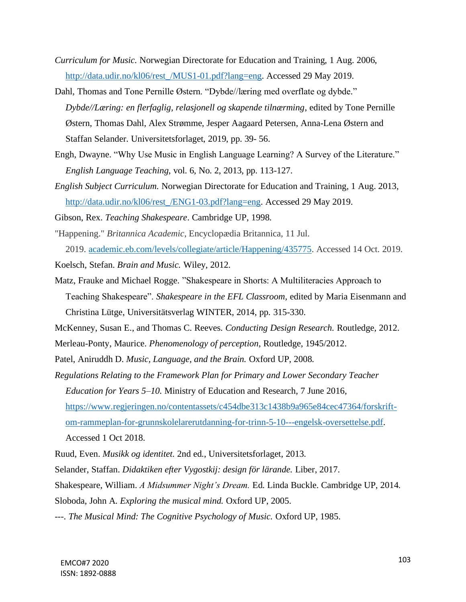- *Curriculum for Music.* Norwegian Directorate for Education and Training, 1 Aug. 2006, [http://data.udir.no/kl06/rest\\_/MUS1-01.pdf?lang=eng.](http://data.udir.no/kl06/rest_/MUS1-01.pdf?lang=eng) Accessed 29 May 2019.
- Dahl, Thomas and Tone Pernille Østern. "Dybde//læring med overflate og dybde." *Dybde//Læring: en flerfaglig, relasjonell og skapende tilnærming*, edited by Tone Pernille Østern, Thomas Dahl, Alex Strømme, Jesper Aagaard Petersen, Anna-Lena Østern and Staffan Selander. Universitetsforlaget, 2019, pp. 39- 56.
- Engh, Dwayne. "Why Use Music in English Language Learning? A Survey of the Literature." *English Language Teaching*, vol. 6, No. 2, 2013, pp. 113-127.
- *English Subject Curriculum.* Norwegian Directorate for Education and Training, 1 Aug. 2013, [http://data.udir.no/kl06/rest\\_/ENG1-03.pdf?lang=eng.](http://data.udir.no/kl06/rest_/ENG1-03.pdf?lang=eng) Accessed 29 May 2019.

Gibson, Rex. *Teaching Shakespeare*. Cambridge UP, 1998.

- "Happening." *Britannica Academic*, Encyclopædia Britannica, 11 Jul. 2019. [academic.eb.com/levels/collegiate/article/Happening/435775.](https://academic.eb.com/levels/collegiate/article/Happening/435775) Accessed 14 Oct. 2019.
- Koelsch, Stefan. *Brain and Music.* Wiley, 2012.
- Matz, Frauke and Michael Rogge. "Shakespeare in Shorts: A Multiliteracies Approach to Teaching Shakespeare". *Shakespeare in the EFL Classroom,* edited by Maria Eisenmann and Christina Lütge, Universitätsverlag WINTER, 2014, pp. 315-330.

McKenney, Susan E., and Thomas C. Reeves. *Conducting Design Research.* Routledge, 2012.

- Merleau-Ponty, Maurice. *Phenomenology of perception*, Routledge, 1945/2012.
- Patel, Aniruddh D. *Music, Language, and the Brain.* Oxford UP, 2008.
- *Regulations Relating to the Framework Plan for Primary and Lower Secondary Teacher Education for Years 5–10.* Ministry of Education and Research, 7 June 2016, [https://www.regjeringen.no/contentassets/c454dbe313c1438b9a965e84cec47364/forskrift](https://www.regjeringen.no/contentassets/c454dbe313c1438b9a965e84cec47364/forskrift-om-rammeplan-for-grunnskolelarerutdanning-for-trinn-5-10---engelsk-oversettelse.pdf)[om-rammeplan-for-grunnskolelarerutdanning-for-trinn-5-10---engelsk-oversettelse.pdf.](https://www.regjeringen.no/contentassets/c454dbe313c1438b9a965e84cec47364/forskrift-om-rammeplan-for-grunnskolelarerutdanning-for-trinn-5-10---engelsk-oversettelse.pdf) Accessed 1 Oct 2018.
- Ruud, Even. *Musikk og identitet.* 2nd ed., Universitetsforlaget, 2013.
- Selander, Staffan. *Didaktiken efter Vygostkij: design för lärande.* Liber, 2017.
- Shakespeare, William. *A Midsummer Night's Dream.* Ed. Linda Buckle. Cambridge UP, 2014.
- Sloboda, John A. *Exploring the musical mind.* Oxford UP, 2005.
- ---. *The Musical Mind: The Cognitive Psychology of Music.* Oxford UP, 1985.